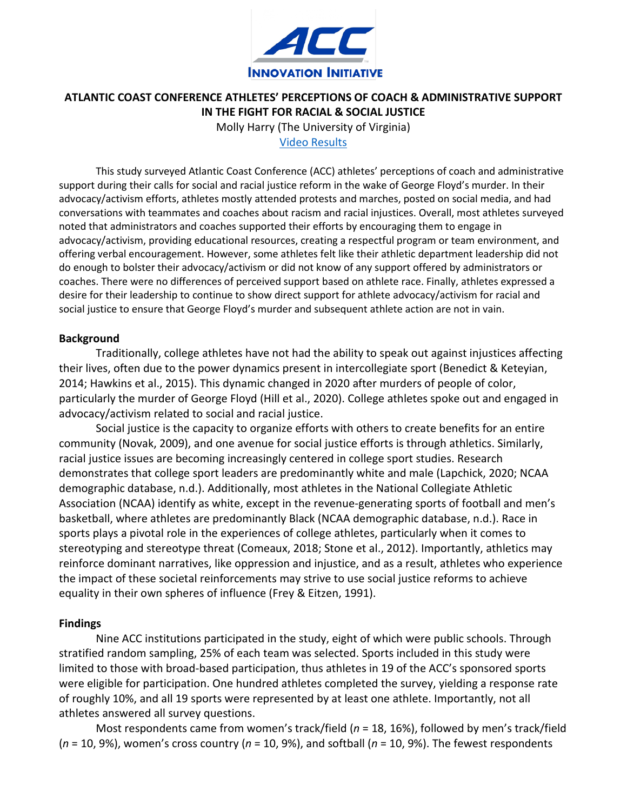

# **ATLANTIC COAST CONFERENCE ATHLETES' PERCEPTIONS OF COACH & ADMINISTRATIVE SUPPORT IN THE FIGHT FOR RACIAL & SOCIAL JUSTICE**

Molly Harry (The University of Virginia) [Video Results](https://curryvirginia.instructuremedia.com/embed/a88511b1-39ed-4968-acbd-80d5914b45bf)

This study surveyed Atlantic Coast Conference (ACC) athletes' perceptions of coach and administrative support during their calls for social and racial justice reform in the wake of George Floyd's murder. In their advocacy/activism efforts, athletes mostly attended protests and marches, posted on social media, and had conversations with teammates and coaches about racism and racial injustices. Overall, most athletes surveyed noted that administrators and coaches supported their efforts by encouraging them to engage in advocacy/activism, providing educational resources, creating a respectful program or team environment, and offering verbal encouragement. However, some athletes felt like their athletic department leadership did not do enough to bolster their advocacy/activism or did not know of any support offered by administrators or coaches. There were no differences of perceived support based on athlete race. Finally, athletes expressed a desire for their leadership to continue to show direct support for athlete advocacy/activism for racial and social justice to ensure that George Floyd's murder and subsequent athlete action are not in vain.

## **Background**

Traditionally, college athletes have not had the ability to speak out against injustices affecting their lives, often due to the power dynamics present in intercollegiate sport (Benedict & Keteyian, 2014; Hawkins et al., 2015). This dynamic changed in 2020 after murders of people of color, particularly the murder of George Floyd (Hill et al., 2020). College athletes spoke out and engaged in advocacy/activism related to social and racial justice.

Social justice is the capacity to organize efforts with others to create benefits for an entire community (Novak, 2009), and one avenue for social justice efforts is through athletics. Similarly, racial justice issues are becoming increasingly centered in college sport studies. Research demonstrates that college sport leaders are predominantly white and male (Lapchick, 2020; NCAA demographic database, n.d.). Additionally, most athletes in the National Collegiate Athletic Association (NCAA) identify as white, except in the revenue-generating sports of football and men's basketball, where athletes are predominantly Black (NCAA demographic database, n.d.). Race in sports plays a pivotal role in the experiences of college athletes, particularly when it comes to stereotyping and stereotype threat (Comeaux, 2018; Stone et al., 2012). Importantly, athletics may reinforce dominant narratives, like oppression and injustice, and as a result, athletes who experience the impact of these societal reinforcements may strive to use social justice reforms to achieve equality in their own spheres of influence (Frey & Eitzen, 1991).

## **Findings**

Nine ACC institutions participated in the study, eight of which were public schools. Through stratified random sampling, 25% of each team was selected. Sports included in this study were limited to those with broad-based participation, thus athletes in 19 of the ACC's sponsored sports were eligible for participation. One hundred athletes completed the survey, yielding a response rate of roughly 10%, and all 19 sports were represented by at least one athlete. Importantly, not all athletes answered all survey questions.

Most respondents came from women's track/field (*n* = 18, 16%), followed by men's track/field (*n* = 10, 9%), women's cross country (*n* = 10, 9%), and softball (*n* = 10, 9%). The fewest respondents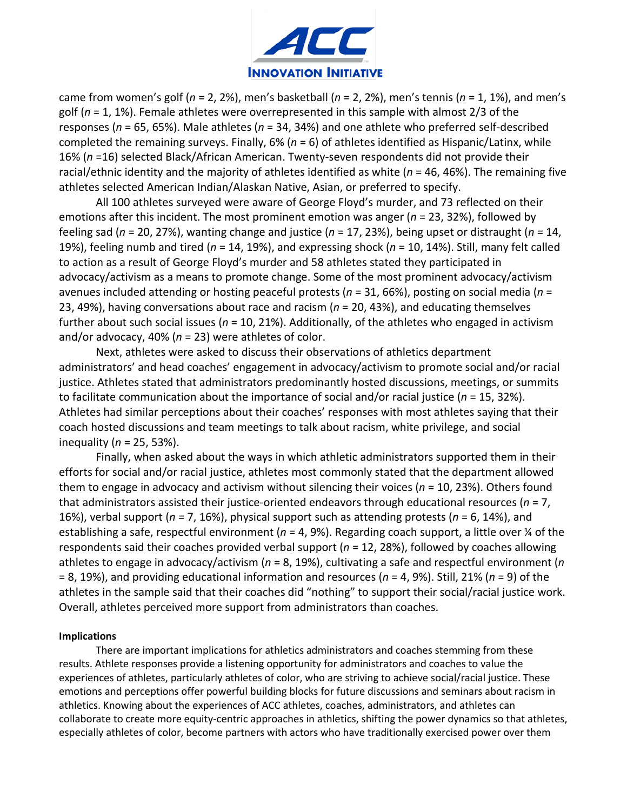

came from women's golf (*n* = 2, 2%), men's basketball (*n* = 2, 2%), men's tennis (*n* = 1, 1%), and men's golf (*n* = 1, 1%). Female athletes were overrepresented in this sample with almost 2/3 of the responses (*n* = 65, 65%). Male athletes (*n* = 34, 34%) and one athlete who preferred self-described completed the remaining surveys. Finally, 6% (*n* = 6) of athletes identified as Hispanic/Latinx, while 16% (*n* =16) selected Black/African American. Twenty-seven respondents did not provide their racial/ethnic identity and the majority of athletes identified as white (*n* = 46, 46%). The remaining five athletes selected American Indian/Alaskan Native, Asian, or preferred to specify.

All 100 athletes surveyed were aware of George Floyd's murder, and 73 reflected on their emotions after this incident. The most prominent emotion was anger (*n* = 23, 32%), followed by feeling sad (*n* = 20, 27%), wanting change and justice (*n* = 17, 23%), being upset or distraught (*n* = 14, 19%), feeling numb and tired (*n* = 14, 19%), and expressing shock (*n* = 10, 14%). Still, many felt called to action as a result of George Floyd's murder and 58 athletes stated they participated in advocacy/activism as a means to promote change. Some of the most prominent advocacy/activism avenues included attending or hosting peaceful protests (*n* = 31, 66%), posting on social media (*n* = 23, 49%), having conversations about race and racism (*n* = 20, 43%), and educating themselves further about such social issues (*n* = 10, 21%). Additionally, of the athletes who engaged in activism and/or advocacy, 40% (*n* = 23) were athletes of color.

Next, athletes were asked to discuss their observations of athletics department administrators' and head coaches' engagement in advocacy/activism to promote social and/or racial justice. Athletes stated that administrators predominantly hosted discussions, meetings, or summits to facilitate communication about the importance of social and/or racial justice (*n* = 15, 32%). Athletes had similar perceptions about their coaches' responses with most athletes saying that their coach hosted discussions and team meetings to talk about racism, white privilege, and social inequality (*n* = 25, 53%).

Finally, when asked about the ways in which athletic administrators supported them in their efforts for social and/or racial justice, athletes most commonly stated that the department allowed them to engage in advocacy and activism without silencing their voices (*n* = 10, 23%). Others found that administrators assisted their justice-oriented endeavors through educational resources (*n* = 7, 16%), verbal support (*n* = 7, 16%), physical support such as attending protests (*n* = 6, 14%), and establishing a safe, respectful environment (*n* = 4, 9%). Regarding coach support, a little over ¼ of the respondents said their coaches provided verbal support (*n* = 12, 28%), followed by coaches allowing athletes to engage in advocacy/activism (*n* = 8, 19%), cultivating a safe and respectful environment (*n* = 8, 19%), and providing educational information and resources (*n* = 4, 9%). Still, 21% (*n* = 9) of the athletes in the sample said that their coaches did "nothing" to support their social/racial justice work. Overall, athletes perceived more support from administrators than coaches.

### **Implications**

There are important implications for athletics administrators and coaches stemming from these results. Athlete responses provide a listening opportunity for administrators and coaches to value the experiences of athletes, particularly athletes of color, who are striving to achieve social/racial justice. These emotions and perceptions offer powerful building blocks for future discussions and seminars about racism in athletics. Knowing about the experiences of ACC athletes, coaches, administrators, and athletes can collaborate to create more equity-centric approaches in athletics, shifting the power dynamics so that athletes, especially athletes of color, become partners with actors who have traditionally exercised power over them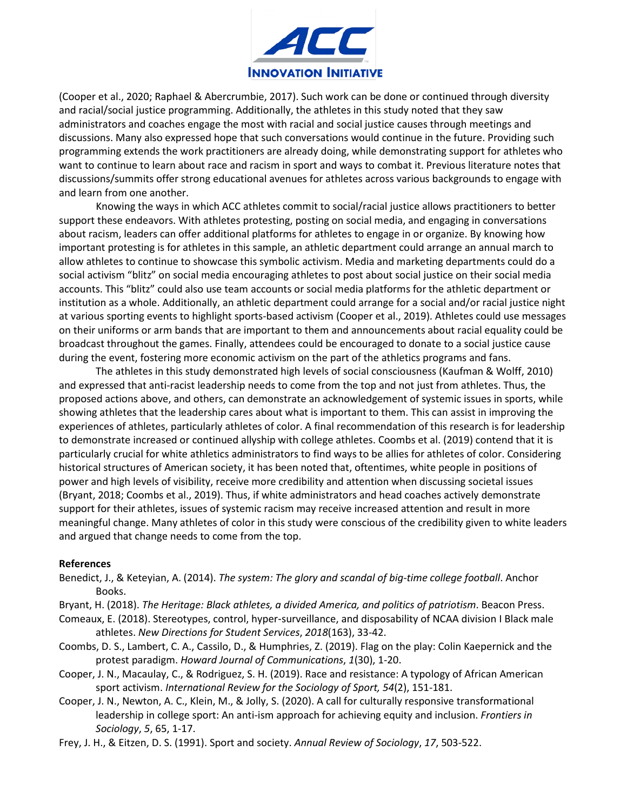

(Cooper et al., 2020; Raphael & Abercrumbie, 2017). Such work can be done or continued through diversity and racial/social justice programming. Additionally, the athletes in this study noted that they saw administrators and coaches engage the most with racial and social justice causes through meetings and discussions. Many also expressed hope that such conversations would continue in the future. Providing such programming extends the work practitioners are already doing, while demonstrating support for athletes who want to continue to learn about race and racism in sport and ways to combat it. Previous literature notes that discussions/summits offer strong educational avenues for athletes across various backgrounds to engage with and learn from one another.

Knowing the ways in which ACC athletes commit to social/racial justice allows practitioners to better support these endeavors. With athletes protesting, posting on social media, and engaging in conversations about racism, leaders can offer additional platforms for athletes to engage in or organize. By knowing how important protesting is for athletes in this sample, an athletic department could arrange an annual march to allow athletes to continue to showcase this symbolic activism. Media and marketing departments could do a social activism "blitz" on social media encouraging athletes to post about social justice on their social media accounts. This "blitz" could also use team accounts or social media platforms for the athletic department or institution as a whole. Additionally, an athletic department could arrange for a social and/or racial justice night at various sporting events to highlight sports-based activism (Cooper et al., 2019). Athletes could use messages on their uniforms or arm bands that are important to them and announcements about racial equality could be broadcast throughout the games. Finally, attendees could be encouraged to donate to a social justice cause during the event, fostering more economic activism on the part of the athletics programs and fans.

The athletes in this study demonstrated high levels of social consciousness (Kaufman & Wolff, 2010) and expressed that anti-racist leadership needs to come from the top and not just from athletes. Thus, the proposed actions above, and others, can demonstrate an acknowledgement of systemic issues in sports, while showing athletes that the leadership cares about what is important to them. This can assist in improving the experiences of athletes, particularly athletes of color. A final recommendation of this research is for leadership to demonstrate increased or continued allyship with college athletes. Coombs et al. (2019) contend that it is particularly crucial for white athletics administrators to find ways to be allies for athletes of color. Considering historical structures of American society, it has been noted that, oftentimes, white people in positions of power and high levels of visibility, receive more credibility and attention when discussing societal issues (Bryant, 2018; Coombs et al., 2019). Thus, if white administrators and head coaches actively demonstrate support for their athletes, issues of systemic racism may receive increased attention and result in more meaningful change. Many athletes of color in this study were conscious of the credibility given to white leaders and argued that change needs to come from the top.

### **References**

- Benedict, J., & Keteyian, A. (2014). *The system: The glory and scandal of big-time college football*. Anchor Books.
- Bryant, H. (2018). *The Heritage: Black athletes, a divided America, and politics of patriotism*. Beacon Press.
- Comeaux, E. (2018). Stereotypes, control, hyper‐surveillance, and disposability of NCAA division I Black male athletes. *New Directions for Student Services*, *2018*(163), 33-42.
- Coombs, D. S., Lambert, C. A., Cassilo, D., & Humphries, Z. (2019). Flag on the play: Colin Kaepernick and the protest paradigm. *Howard Journal of Communications*, *1*(30), 1-20.
- Cooper, J. N., Macaulay, C., & Rodriguez, S. H. (2019). Race and resistance: A typology of African American sport activism. *International Review for the Sociology of Sport, 54*(2), 151-181.
- Cooper, J. N., Newton, A. C., Klein, M., & Jolly, S. (2020). A call for culturally responsive transformational leadership in college sport: An anti-ism approach for achieving equity and inclusion. *Frontiers in Sociology*, *5*, 65, 1-17.
- Frey, J. H., & Eitzen, D. S. (1991). Sport and society. *Annual Review of Sociology*, *17*, 503-522.